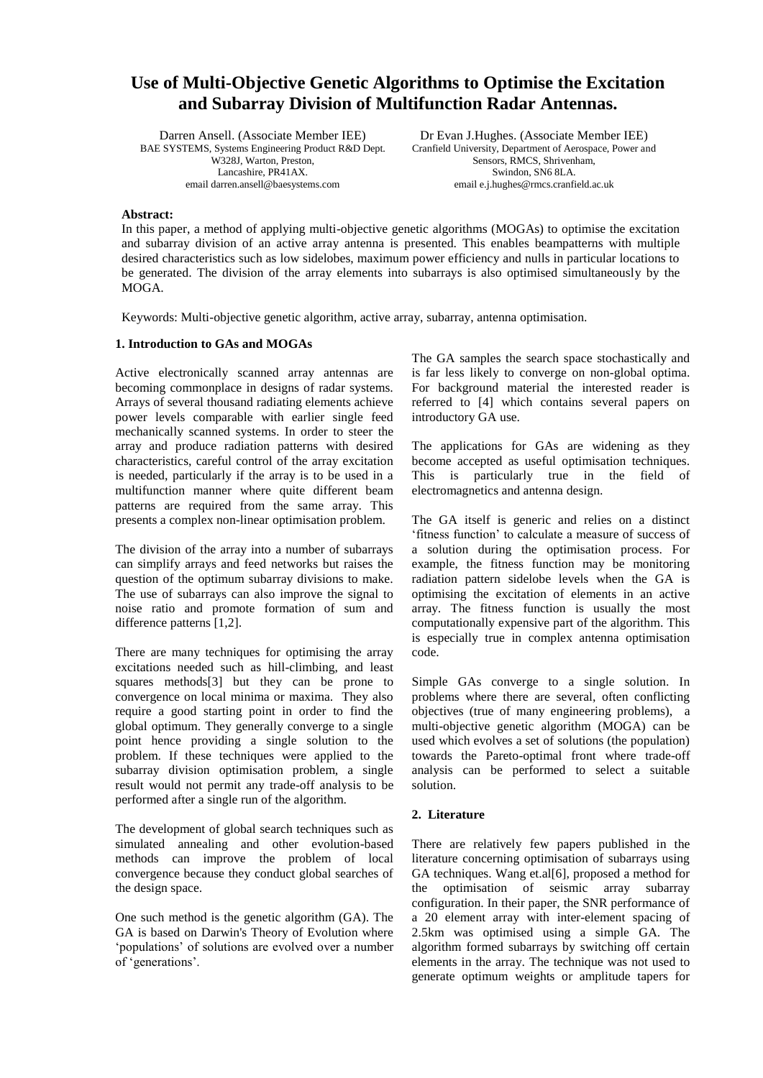# **Use of Multi-Objective Genetic Algorithms to Optimise the Excitation and Subarray Division of Multifunction Radar Antennas.**

Darren Ansell. (Associate Member IEE) BAE SYSTEMS, Systems Engineering Product R&D Dept. W328J, Warton, Preston, Lancashire, PR41AX. email darren.ansell@baesystems.com

Dr Evan J.Hughes. (Associate Member IEE) Cranfield University, Department of Aerospace, Power and Sensors, RMCS, Shrivenham, Swindon, SN6 8LA. email e.j.hughes@rmcs.cranfield.ac.uk

#### **Abstract:**

In this paper, a method of applying multi-objective genetic algorithms (MOGAs) to optimise the excitation and subarray division of an active array antenna is presented. This enables beampatterns with multiple desired characteristics such as low sidelobes, maximum power efficiency and nulls in particular locations to be generated. The division of the array elements into subarrays is also optimised simultaneously by the MOGA.

Keywords: Multi-objective genetic algorithm, active array, subarray, antenna optimisation.

# **1. Introduction to GAs and MOGAs**

Active electronically scanned array antennas are becoming commonplace in designs of radar systems. Arrays of several thousand radiating elements achieve power levels comparable with earlier single feed mechanically scanned systems. In order to steer the array and produce radiation patterns with desired characteristics, careful control of the array excitation is needed, particularly if the array is to be used in a multifunction manner where quite different beam patterns are required from the same array. This presents a complex non-linear optimisation problem.

The division of the array into a number of subarrays can simplify arrays and feed networks but raises the question of the optimum subarray divisions to make. The use of subarrays can also improve the signal to noise ratio and promote formation of sum and difference patterns [1,2].

There are many techniques for optimising the array excitations needed such as hill-climbing, and least squares methods[3] but they can be prone to convergence on local minima or maxima. They also require a good starting point in order to find the global optimum. They generally converge to a single point hence providing a single solution to the problem. If these techniques were applied to the subarray division optimisation problem, a single result would not permit any trade-off analysis to be performed after a single run of the algorithm.

The development of global search techniques such as simulated annealing and other evolution-based methods can improve the problem of local convergence because they conduct global searches of the design space.

One such method is the genetic algorithm (GA). The GA is based on Darwin's Theory of Evolution where 'populations' of solutions are evolved over a number of 'generations'.

The GA samples the search space stochastically and is far less likely to converge on non-global optima. For background material the interested reader is referred to [4] which contains several papers on introductory GA use.

The applications for GAs are widening as they become accepted as useful optimisation techniques. This is particularly true in the field of electromagnetics and antenna design.

The GA itself is generic and relies on a distinct 'fitness function' to calculate a measure of success of a solution during the optimisation process. For example, the fitness function may be monitoring radiation pattern sidelobe levels when the GA is optimising the excitation of elements in an active array. The fitness function is usually the most computationally expensive part of the algorithm. This is especially true in complex antenna optimisation code.

Simple GAs converge to a single solution. In problems where there are several, often conflicting objectives (true of many engineering problems), a multi-objective genetic algorithm (MOGA) can be used which evolves a set of solutions (the population) towards the Pareto-optimal front where trade-off analysis can be performed to select a suitable solution.

#### **2. Literature**

There are relatively few papers published in the literature concerning optimisation of subarrays using GA techniques. Wang et.al[6], proposed a method for the optimisation of seismic array subarray configuration. In their paper, the SNR performance of a 20 element array with inter-element spacing of 2.5km was optimised using a simple GA. The algorithm formed subarrays by switching off certain elements in the array. The technique was not used to generate optimum weights or amplitude tapers for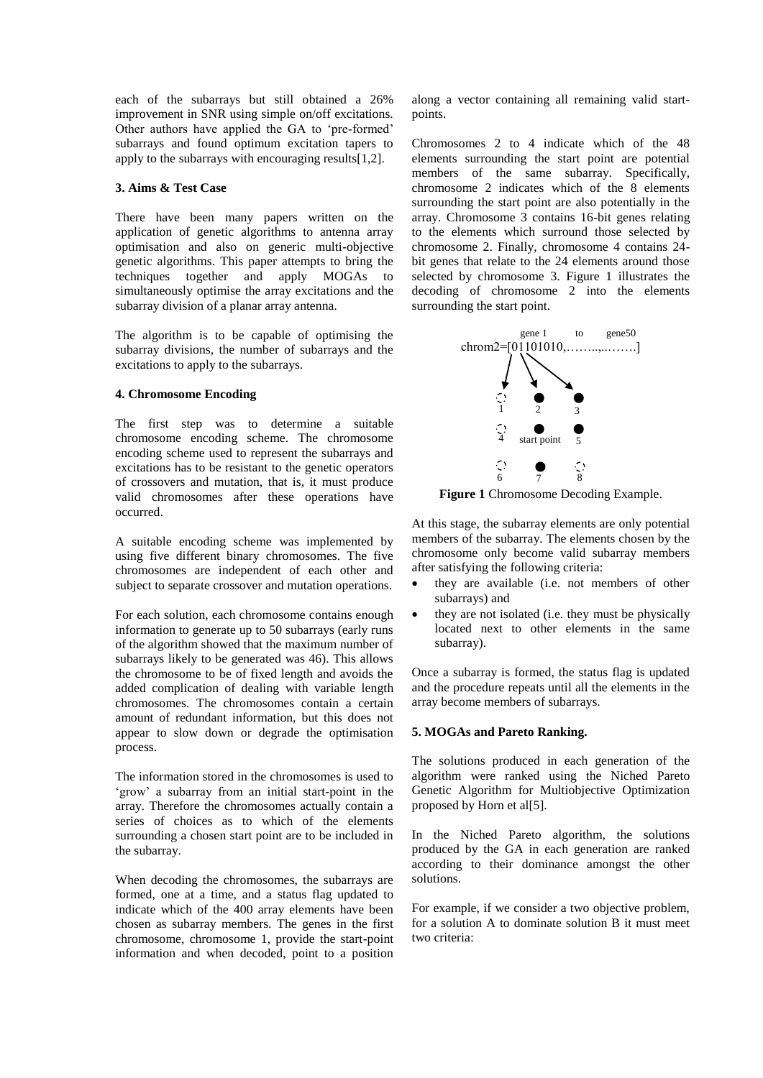each of the subarrays but still obtained a 26% improvement in SNR using simple on/off excitations. Other authors have applied the GA to 'pre-formed' subarrays and found optimum excitation tapers to apply to the subarrays with encouraging results[1,2].

# **3. Aims & Test Case**

There have been many papers written on the application of genetic algorithms to antenna array optimisation and also on generic multi-objective genetic algorithms. This paper attempts to bring the techniques together and apply MOGAs to simultaneously optimise the array excitations and the subarray division of a planar array antenna.

The algorithm is to be capable of optimising the subarray divisions, the number of subarrays and the excitations to apply to the subarrays.

### **4. Chromosome Encoding**

The first step was to determine a suitable chromosome encoding scheme. The chromosome encoding scheme used to represent the subarrays and excitations has to be resistant to the genetic operators of crossovers and mutation, that is, it must produce valid chromosomes after these operations have occurred.

A suitable encoding scheme was implemented by using five different binary chromosomes. The five chromosomes are independent of each other and subject to separate crossover and mutation operations.

For each solution, each chromosome contains enough information to generate up to 50 subarrays (early runs of the algorithm showed that the maximum number of subarrays likely to be generated was 46). This allows the chromosome to be of fixed length and avoids the added complication of dealing with variable length chromosomes. The chromosomes contain a certain amount of redundant information, but this does not appear to slow down or degrade the optimisation process.

The information stored in the chromosomes is used to 'grow' a subarray from an initial start-point in the array. Therefore the chromosomes actually contain a series of choices as to which of the elements surrounding a chosen start point are to be included in the subarray.

When decoding the chromosomes, the subarrays are formed, one at a time, and a status flag updated to indicate which of the 400 array elements have been chosen as subarray members. The genes in the first chromosome, chromosome 1, provide the start-point information and when decoded, point to a position along a vector containing all remaining valid startpoints.

Chromosomes 2 to 4 indicate which of the 48 elements surrounding the start point are potential members of the same subarray. Specifically, chromosome 2 indicates which of the 8 elements surrounding the start point are also potentially in the array. Chromosome 3 contains 16-bit genes relating to the elements which surround those selected by chromosome 2. Finally, chromosome 4 contains 24 bit genes that relate to the 24 elements around those selected by chromosome 3. Figure 1 illustrates the decoding of chromosome 2 into the elements surrounding the start point.



**Figure 1** Chromosome Decoding Example.

At this stage, the subarray elements are only potential members of the subarray. The elements chosen by the chromosome only become valid subarray members after satisfying the following criteria:

- they are available (i.e. not members of other subarrays) and
- they are not isolated (i.e. they must be physically located next to other elements in the same subarray).

Once a subarray is formed, the status flag is updated and the procedure repeats until all the elements in the array become members of subarrays.

### **5. MOGAs and Pareto Ranking.**

The solutions produced in each generation of the algorithm were ranked using the Niched Pareto Genetic Algorithm for Multiobjective Optimization proposed by Horn et al[5].

In the Niched Pareto algorithm, the solutions produced by the GA in each generation are ranked according to their dominance amongst the other solutions.

For example, if we consider a two objective problem, for a solution A to dominate solution B it must meet two criteria: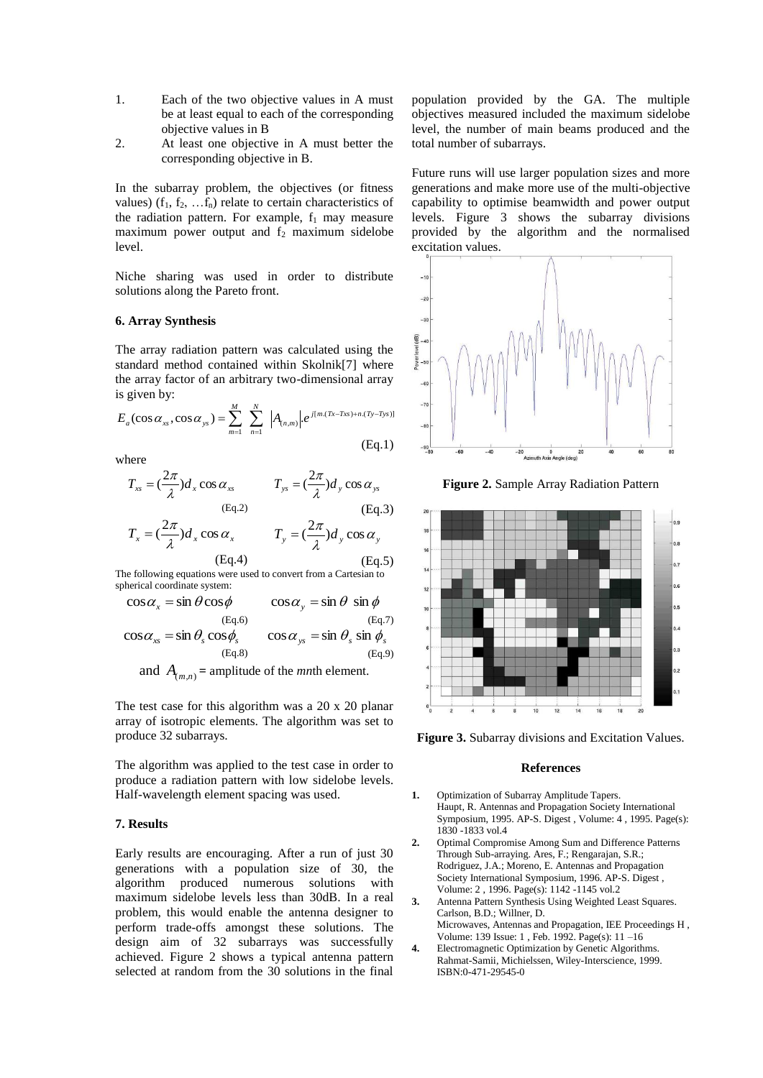- 1. Each of the two objective values in A must be at least equal to each of the corresponding objective values in B
- 2. At least one objective in A must better the corresponding objective in B.

In the subarray problem, the objectives (or fitness values)  $(f_1, f_2, \ldots, f_n)$  relate to certain characteristics of the radiation pattern. For example,  $f_1$  may measure maximum power output and  $f_2$  maximum sidelobe level.

Niche sharing was used in order to distribute solutions along the Pareto front.

# **6. Array Synthesis**

The array radiation pattern was calculated using the standard method contained within Skolnik[7] where the array factor of an arbitrary two-dimensional array is given by:

$$
E_a(\cos \alpha_{xs}, \cos \alpha_{ys}) = \sum_{m=1}^{M} \sum_{n=1}^{N} |A_{(n,m)}| e^{j[m.(Tx-Txs) + n.(Ty-Tys)]}
$$
\n(Eq.1)

where

$$
T_{xx} = \left(\frac{2\pi}{\lambda}\right) d_x \cos \alpha_{xx} \qquad T_{ys} = \left(\frac{2\pi}{\lambda}\right) d_y \cos \alpha_{ys}
$$
\n
$$
(Eq.2) \qquad (Eq.3)
$$

$$
T_x = \left(\frac{2\pi}{\lambda}\right) d_x \cos \alpha_x \qquad T_y = \left(\frac{2\pi}{\lambda}\right) d_y \cos \alpha_y
$$
\n(Eq.4)

\n(Eq.5)

The following equations were used to convert from a Cartesian to spherical coordinate system:

$$
\cos \alpha_x = \sin \theta \cos \phi \qquad \cos \alpha_y = \sin \theta \sin \phi
$$
  
\n
$$
\cos \alpha_x = \sin \theta_s \cos \phi_s \qquad \cos \alpha_{ys} = \sin \theta_s \sin \phi_s
$$
  
\n
$$
\cos \alpha_{xs} = \sin \theta_s \cos \phi_s \qquad \cos \alpha_{ys} = \sin \theta_s \sin \phi_s
$$
  
\n
$$
(Eq.8)
$$

and  $A_{(m,n)}$  = amplitude of the *mn*th element.

The test case for this algorithm was a 20 x 20 planar array of isotropic elements. The algorithm was set to produce 32 subarrays.

The algorithm was applied to the test case in order to produce a radiation pattern with low sidelobe levels. Half-wavelength element spacing was used.

#### **7. Results**

Early results are encouraging. After a run of just 30 generations with a population size of 30, the algorithm produced numerous solutions with maximum sidelobe levels less than 30dB. In a real problem, this would enable the antenna designer to perform trade-offs amongst these solutions. The design aim of 32 subarrays was successfully achieved. Figure 2 shows a typical antenna pattern selected at random from the 30 solutions in the final

population provided by the GA. The multiple objectives measured included the maximum sidelobe level, the number of main beams produced and the total number of subarrays.

Future runs will use larger population sizes and more generations and make more use of the multi-objective capability to optimise beamwidth and power output levels. Figure 3 shows the subarray divisions provided by the algorithm and the normalised excitation values.



**Figure 2.** Sample Array Radiation Pattern



**Figure 3.** Subarray divisions and Excitation Values.

#### **References**

- **1.** Optimization of Subarray Amplitude Tapers. Haupt, R. Antennas and Propagation Society International Symposium, 1995. AP-S. Digest , Volume: 4 , 1995. Page(s): 1830 -1833 vol.4
- **2.** Optimal Compromise Among Sum and Difference Patterns Through Sub-arraying. Ares, F.; Rengarajan, S.R.; Rodriguez, J.A.; Moreno, E. Antennas and Propagation Society International Symposium, 1996. AP-S. Digest, Volume: 2 , 1996. Page(s): 1142 -1145 vol.2
- **3.** Antenna Pattern Synthesis Using Weighted Least Squares. Carlson, B.D.; Willner, D. Microwaves, Antennas and Propagation, IEE Proceedings H , Volume: 139 Issue: 1 , Feb. 1992. Page(s): 11 –16
- **4.** Electromagnetic Optimization by Genetic Algorithms. Rahmat-Samii, Michielssen, Wiley-Interscience, 1999. ISBN:0-471-29545-0